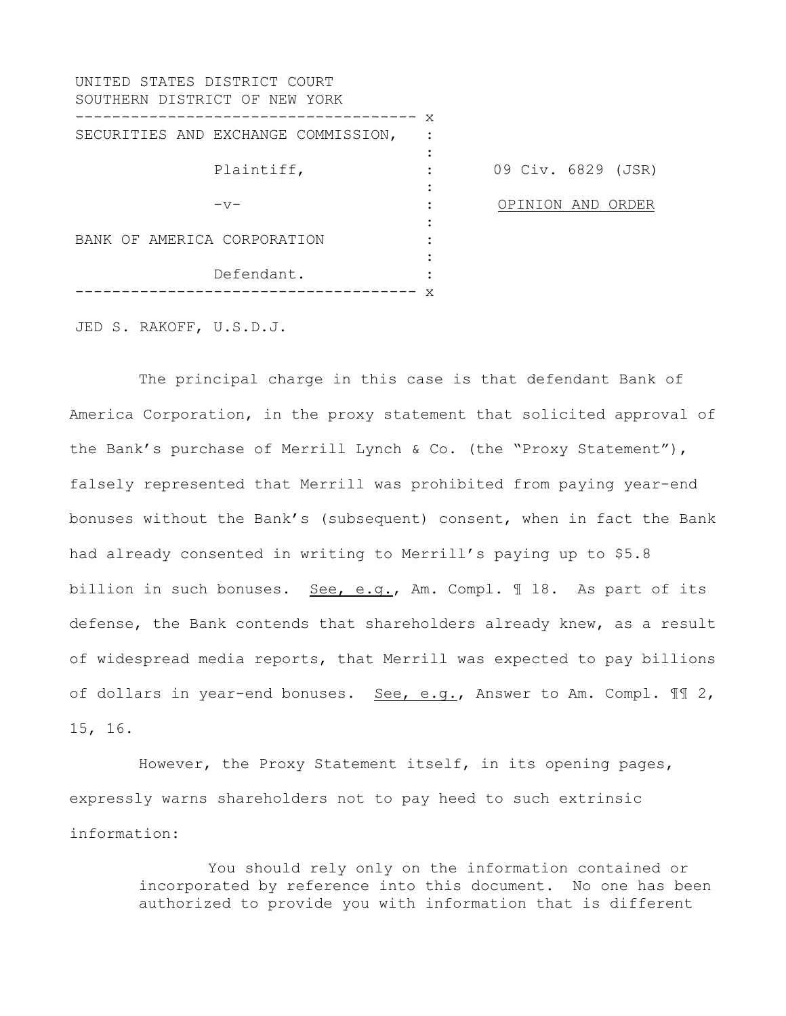| UNITED STATES DISTRICT COURT<br>SOUTHERN DISTRICT OF NEW YORK |   |                    |
|---------------------------------------------------------------|---|--------------------|
| SECURITIES AND EXCHANGE COMMISSION,                           | X |                    |
| Plaintiff,                                                    |   | 09 Civ. 6829 (JSR) |
| $-\nabla$                                                     |   | OPINION AND ORDER  |
| BANK OF AMERICA CORPORATION                                   |   |                    |
| Defendant.                                                    | X |                    |

JED S. RAKOFF, U.S.D.J.

The principal charge in this case is that defendant Bank of America Corporation, in the proxy statement that solicited approval of the Bank's purchase of Merrill Lynch & Co. (the "Proxy Statement"), falsely represented that Merrill was prohibited from paying year-end bonuses without the Bank's (subsequent) consent, when in fact the Bank had already consented in writing to Merrill's paying up to \$5.8 billion in such bonuses. See, e.g., Am. Compl. ¶ 18. As part of its defense, the Bank contends that shareholders already knew, as a result of widespread media reports, that Merrill was expected to pay billions of dollars in year-end bonuses. See, e.g., Answer to Am. Compl.  $\mathbb{I} \mathbb{I}$  2, 15, 16.

However, the Proxy Statement itself, in its opening pages, expressly warns shareholders not to pay heed to such extrinsic information:

> You should rely only on the information contained or incorporated by reference into this document. No one has been authorized to provide you with information that is different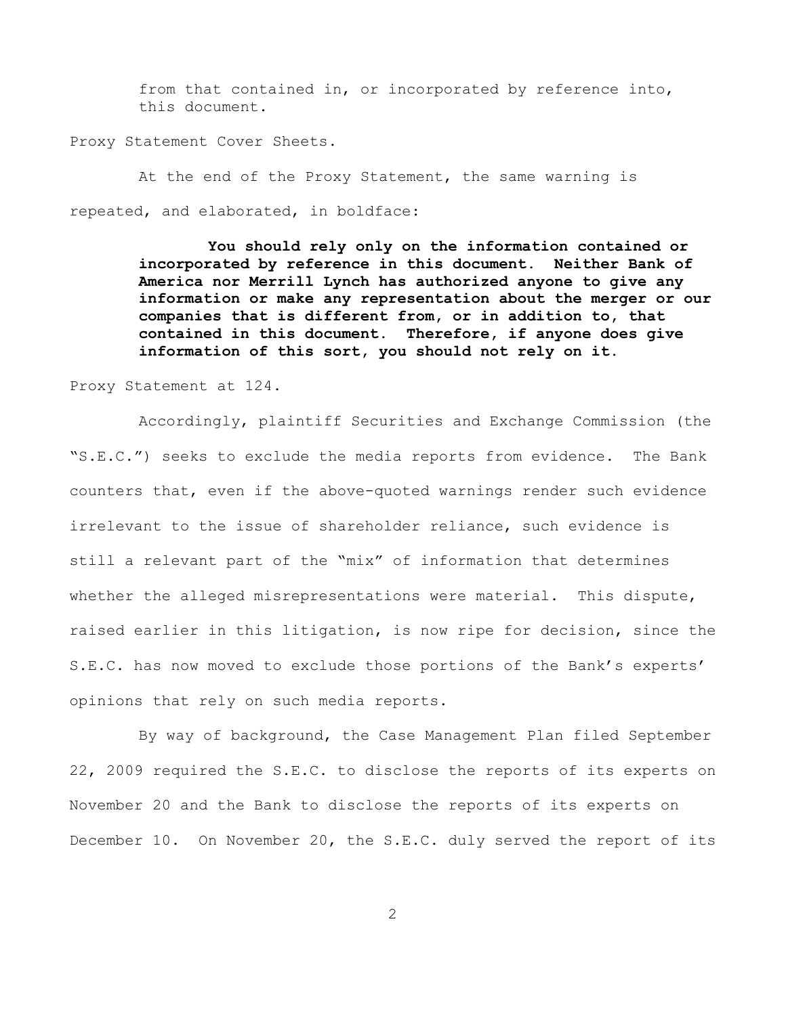from that contained in, or incorporated by reference into, this document.

Proxy Statement Cover Sheets.

At the end of the Proxy Statement, the same warning is repeated, and elaborated, in boldface:

> **You should rely only on the information contained or incorporated by reference in this document. Neither Bank of America nor Merrill Lynch has authorized anyone to give any information or make any representation about the merger or our companies that is different from, or in addition to, that contained in this document. Therefore, if anyone does give information of this sort, you should not rely on it.**

Proxy Statement at 124.

Accordingly, plaintiff Securities and Exchange Commission (the "S.E.C.") seeks to exclude the media reports from evidence. The Bank counters that, even if the above-quoted warnings render such evidence irrelevant to the issue of shareholder reliance, such evidence is still a relevant part of the "mix" of information that determines whether the alleged misrepresentations were material. This dispute, raised earlier in this litigation, is now ripe for decision, since the S.E.C. has now moved to exclude those portions of the Bank's experts' opinions that rely on such media reports.

By way of background, the Case Management Plan filed September 22, 2009 required the S.E.C. to disclose the reports of its experts on November 20 and the Bank to disclose the reports of its experts on December 10. On November 20, the S.E.C. duly served the report of its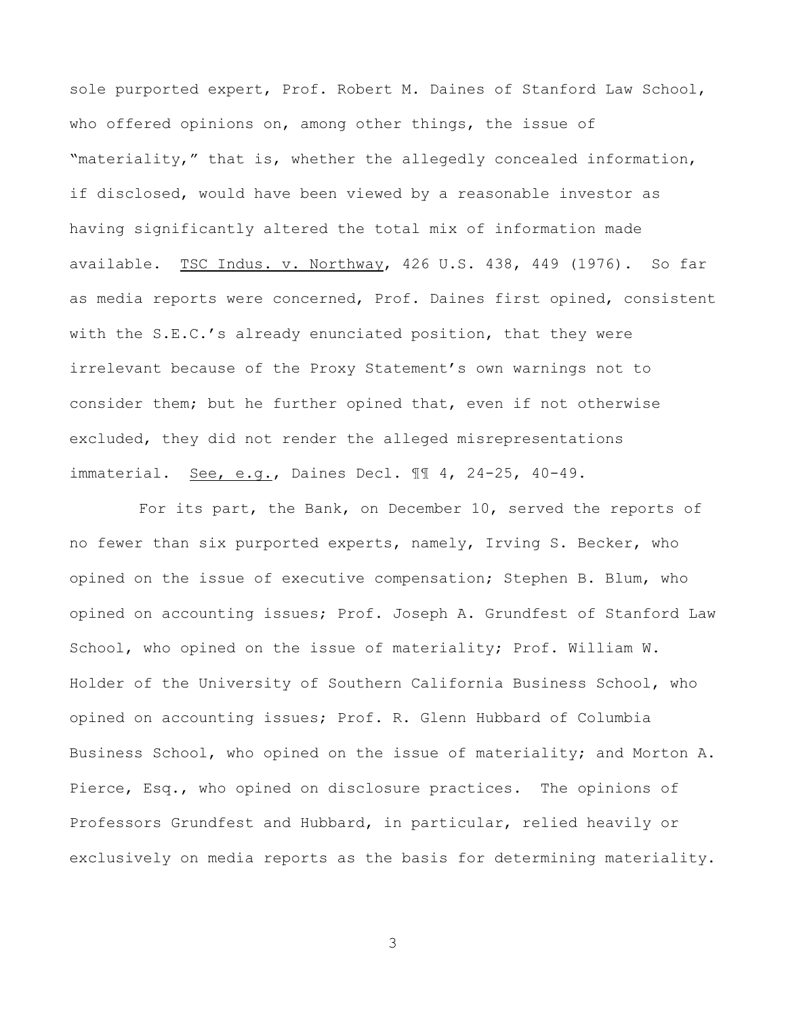sole purported expert, Prof. Robert M. Daines of Stanford Law School, who offered opinions on, among other things, the issue of "materiality," that is, whether the allegedly concealed information, if disclosed, would have been viewed by a reasonable investor as having significantly altered the total mix of information made available. TSC Indus. v. Northway, 426 U.S. 438, 449 (1976). So far as media reports were concerned, Prof. Daines first opined, consistent with the S.E.C.'s already enunciated position, that they were irrelevant because of the Proxy Statement's own warnings not to consider them; but he further opined that, even if not otherwise excluded, they did not render the alleged misrepresentations immaterial. See, e.g., Daines Decl. ¶¶ 4, 24-25, 40-49.

For its part, the Bank, on December 10, served the reports of no fewer than six purported experts, namely, Irving S. Becker, who opined on the issue of executive compensation; Stephen B. Blum, who opined on accounting issues; Prof. Joseph A. Grundfest of Stanford Law School, who opined on the issue of materiality; Prof. William W. Holder of the University of Southern California Business School, who opined on accounting issues; Prof. R. Glenn Hubbard of Columbia Business School, who opined on the issue of materiality; and Morton A. Pierce, Esq., who opined on disclosure practices. The opinions of Professors Grundfest and Hubbard, in particular, relied heavily or exclusively on media reports as the basis for determining materiality.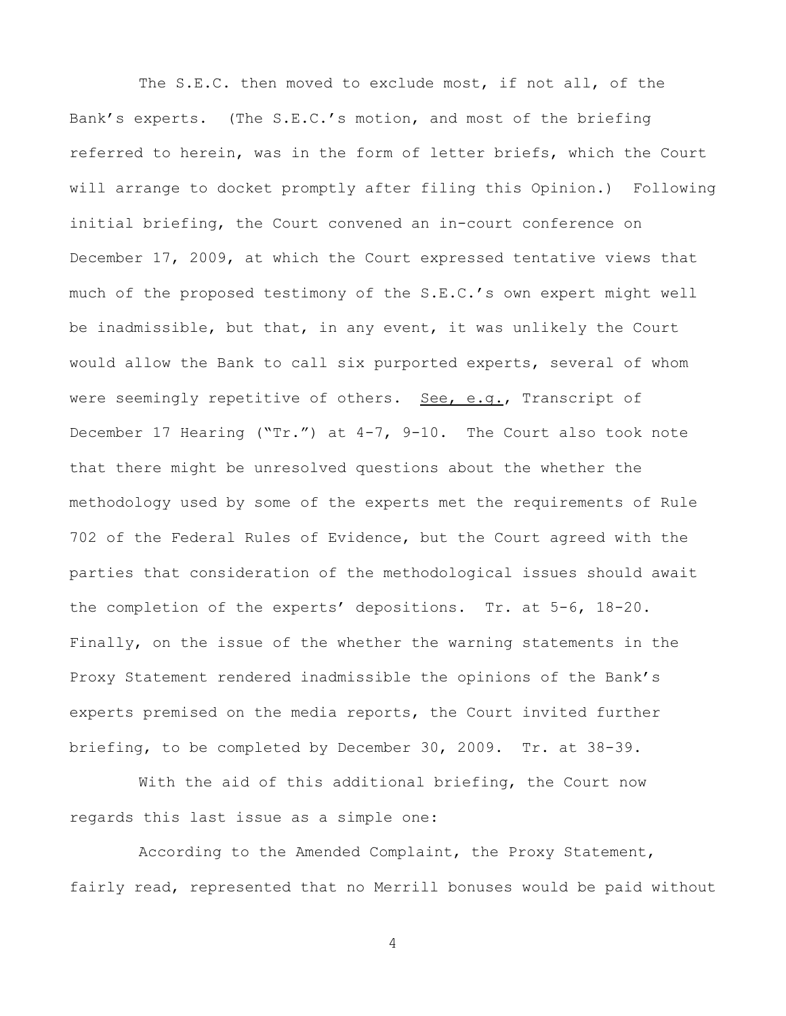The S.E.C. then moved to exclude most, if not all, of the Bank's experts. (The S.E.C.'s motion, and most of the briefing referred to herein, was in the form of letter briefs, which the Court will arrange to docket promptly after filing this Opinion.) Following initial briefing, the Court convened an in-court conference on December 17, 2009, at which the Court expressed tentative views that much of the proposed testimony of the S.E.C.'s own expert might well be inadmissible, but that, in any event, it was unlikely the Court would allow the Bank to call six purported experts, several of whom were seemingly repetitive of others. See, e.g., Transcript of December 17 Hearing ("Tr.") at 4-7, 9-10.The Court also took note that there might be unresolved questions about the whether the methodology used by some of the experts met the requirements of Rule 702 of the Federal Rules of Evidence, but the Court agreed with the parties that consideration of the methodological issues should await the completion of the experts' depositions. Tr. at 5-6, 18-20. Finally, on the issue of the whether the warning statements in the Proxy Statement rendered inadmissible the opinions of the Bank's experts premised on the media reports, the Court invited further briefing, to be completed by December 30, 2009. Tr. at 38-39.

With the aid of this additional briefing, the Court now regards this last issue as a simple one:

According to the Amended Complaint, the Proxy Statement, fairly read, represented that no Merrill bonuses would be paid without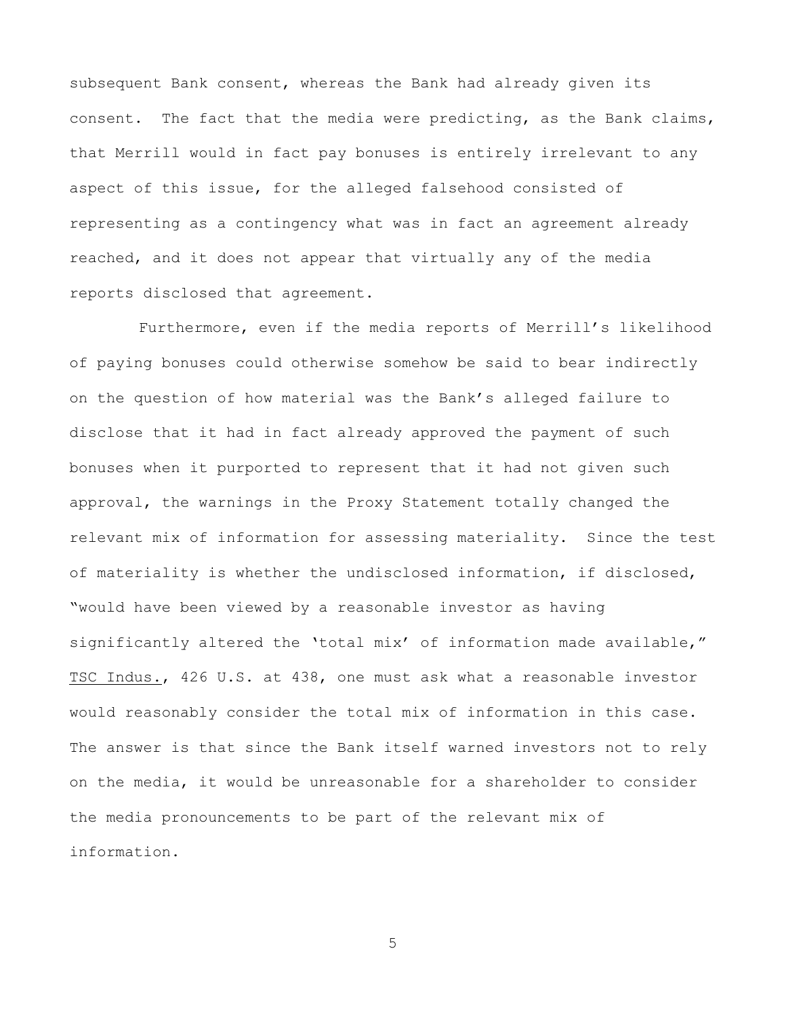subsequent Bank consent, whereas the Bank had already given its consent. The fact that the media were predicting, as the Bank claims, that Merrill would in fact pay bonuses is entirely irrelevant to any aspect of this issue, for the alleged falsehood consisted of representing as a contingency what was in fact an agreement already reached, and it does not appear that virtually any of the media reports disclosed that agreement.

Furthermore, even if the media reports of Merrill's likelihood of paying bonuses could otherwise somehow be said to bear indirectly on the question of how material was the Bank's alleged failure to disclose that it had in fact already approved the payment of such bonuses when it purported to represent that it had not given such approval, the warnings in the Proxy Statement totally changed the relevant mix of information for assessing materiality. Since the test of materiality is whether the undisclosed information, if disclosed, "would have been viewed by a reasonable investor as having significantly altered the 'total mix' of information made available," TSC Indus., 426 U.S. at 438, one must ask what a reasonable investor would reasonably consider the total mix of information in this case. The answer is that since the Bank itself warned investors not to rely on the media, it would be unreasonable for a shareholder to consider the media pronouncements to be part of the relevant mix of information.